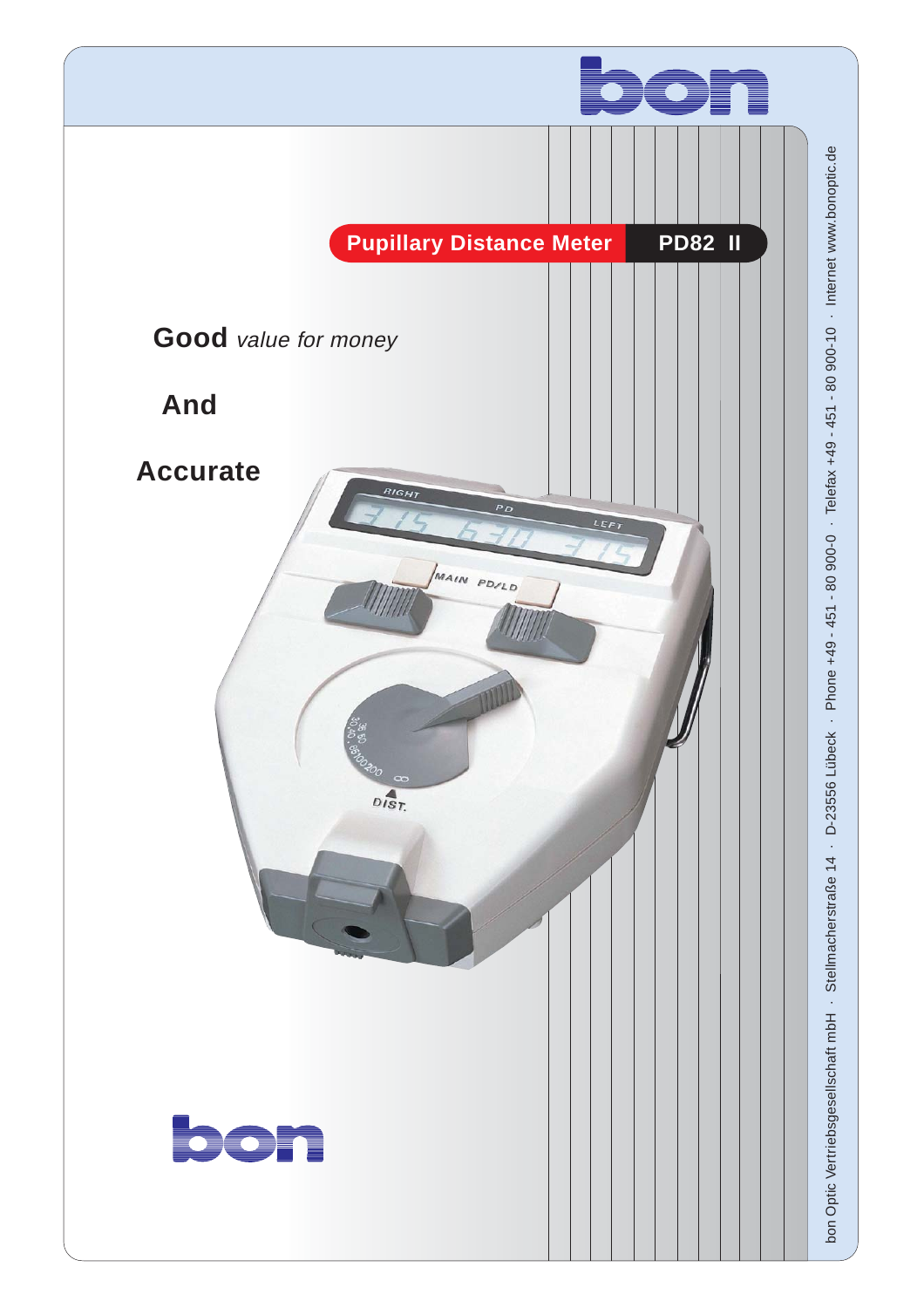